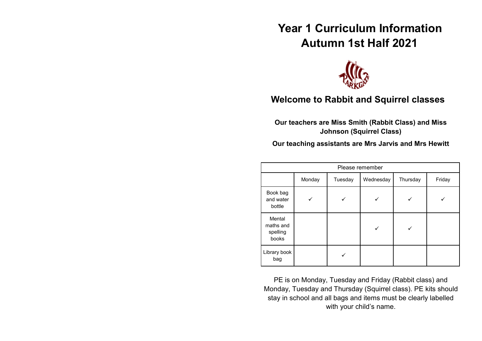# **Year 1 Curriculum Information Autumn 1st Half 2021**



# **Welcome to Rabbit and Squirrel classes**

**Our teachers are Miss Smith (Rabbit Class) and Miss Johnson (Squirrel Class)**

**Our teaching assistants are Mrs Jarvis and Mrs Hewitt**

| Please remember                          |        |         |           |          |        |  |
|------------------------------------------|--------|---------|-----------|----------|--------|--|
|                                          | Monday | Tuesday | Wednesday | Thursday | Friday |  |
| Book bag<br>and water<br>bottle          |        |         |           |          |        |  |
| Mental<br>maths and<br>spelling<br>books |        |         |           |          |        |  |
| Library book<br>bag                      |        |         |           |          |        |  |

PE is on Monday, Tuesday and Friday (Rabbit class) and Monday, Tuesday and Thursday (Squirrel class). PE kits should stay in school and all bags and items must be clearly labelled with your child's name.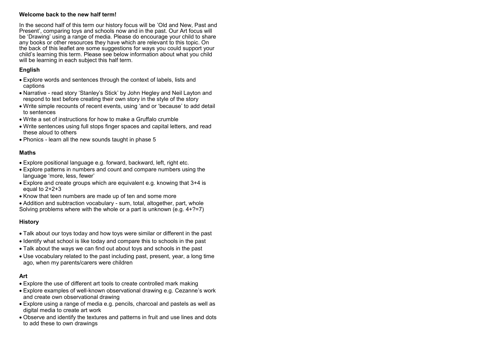#### **Welcome back to the new half term!**

In the second half of this term our history focus will be 'Old and New, Past and Present', comparing toys and schools now and in the past. Our Art focus will be 'Drawing' using a range of media. Please do encourage your child to share any books or other resources they have which are relevant to this topic. On the back of this leaflet are some suggestions for ways you could support your child's learning this term. Please see below information about what you child will be learning in each subject this half term.

# **English**

- Explore words and sentences through the context of labels, lists and captions
- Narrative read story 'Stanley's Stick' by John Hegley and Neil Layton and respond to text before creating their own story in the style of the story
- Write simple recounts of recent events, using 'and or 'because' to add detail to sentences
- Write a set of instructions for how to make a Gruffalo crumble
- Write sentences using full stops finger spaces and capital letters, and read these aloud to others
- Phonics learn all the new sounds taught in phase 5

# **Maths**

- Explore positional language e.g. forward, backward, left, right etc.
- Explore patterns in numbers and count and compare numbers using the language 'more, less, fewer'
- Explore and create groups which are equivalent e.g. knowing that 3+4 is equal to  $2+2+3$
- Know that teen numbers are made up of ten and some more
- Addition and subtraction vocabulary sum, total, altogether, part, whole Solving problems where with the whole or a part is unknown (e.g.  $4+?=7$ )

# **History**

- Talk about our toys today and how toys were similar or different in the past
- Identify what school is like today and compare this to schools in the past
- Talk about the ways we can find out about toys and schools in the past
- Use vocabulary related to the past including past, present, year, a long time ago, when my parents/carers were children

# **Art**

- Explore the use of different art tools to create controlled mark making
- Explore examples of well-known observational drawing e.g. Cezanne's work and create own observational drawing
- Explore using a range of media e.g. pencils, charcoal and pastels as well as digital media to create art work
- Observe and identify the textures and patterns in fruit and use lines and dots to add these to own drawings